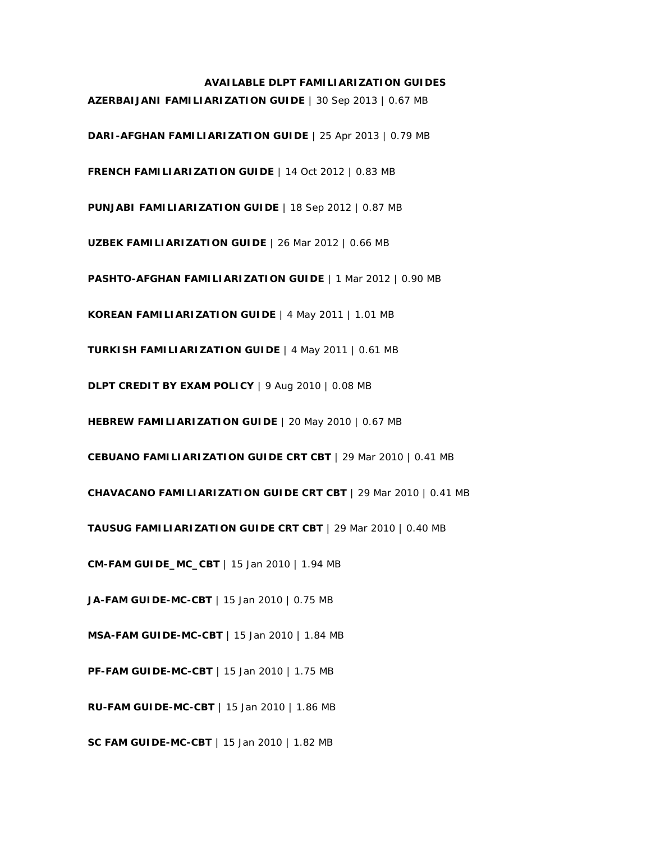## **AVAILABLE DLPT FAMILIARIZATION GUIDES**

 **AZERBAIJANI FAMILIARIZATION GUIDE** | 30 Sep 2013 | 0.67 MB  **DARI-AFGHAN FAMILIARIZATION GUIDE** | 25 Apr 2013 | 0.79 MB  **FRENCH FAMILIARIZATION GUIDE** | 14 Oct 2012 | 0.83 MB  **PUNJABI FAMILIARIZATION GUIDE** | 18 Sep 2012 | 0.87 MB  **UZBEK FAMILIARIZATION GUIDE** | 26 Mar 2012 | 0.66 MB  **PASHTO-AFGHAN FAMILIARIZATION GUIDE** | 1 Mar 2012 | 0.90 MB  **KOREAN FAMILIARIZATION GUIDE** | 4 May 2011 | 1.01 MB  **TURKISH FAMILIARIZATION GUIDE** | 4 May 2011 | 0.61 MB  **DLPT CREDIT BY EXAM POLICY** | 9 Aug 2010 | 0.08 MB  **HEBREW FAMILIARIZATION GUIDE** | 20 May 2010 | 0.67 MB  **CEBUANO FAMILIARIZATION GUIDE CRT CBT** | 29 Mar 2010 | 0.41 MB  **CHAVACANO FAMILIARIZATION GUIDE CRT CBT** | 29 Mar 2010 | 0.41 MB  **TAUSUG FAMILIARIZATION GUIDE CRT CBT** | 29 Mar 2010 | 0.40 MB  **CM-FAM GUIDE\_MC\_CBT** | 15 Jan 2010 | 1.94 MB  **JA-FAM GUIDE-MC-CBT** | 15 Jan 2010 | 0.75 MB  **MSA-FAM GUIDE-MC-CBT** | 15 Jan 2010 | 1.84 MB  **PF-FAM GUIDE-MC-CBT** | 15 Jan 2010 | 1.75 MB  **RU-FAM GUIDE-MC-CBT** | 15 Jan 2010 | 1.86 MB  **SC FAM GUIDE-MC-CBT** | 15 Jan 2010 | 1.82 MB